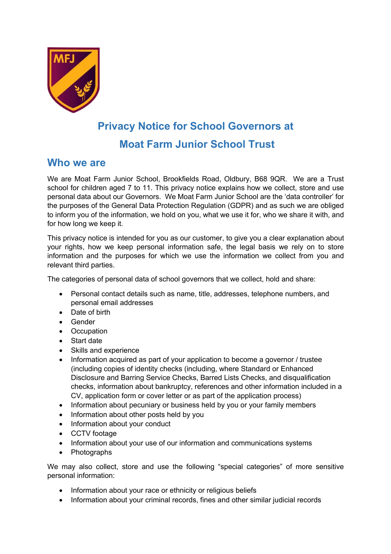

# **Privacy Notice for School Governors at**

## **Moat Farm Junior School Trust**

### **Who we are**

We are Moat Farm Junior School, Brookfields Road, Oldbury, B68 9QR. We are a Trust school for children aged 7 to 11. This privacy notice explains how we collect, store and use personal data about our Governors. We Moat Farm Junior School are the 'data controller' for the purposes of the General Data Protection Regulation (GDPR) and as such we are obliged to inform you of the information, we hold on you, what we use it for, who we share it with, and for how long we keep it.

This privacy notice is intended for you as our customer, to give you a clear explanation about your rights, how we keep personal information safe, the legal basis we rely on to store information and the purposes for which we use the information we collect from you and relevant third parties.

The categories of personal data of school governors that we collect, hold and share:

- Personal contact details such as name, title, addresses, telephone numbers, and personal email addresses
- Date of birth
- Gender
- Occupation
- Start date
- Skills and experience
- Information acquired as part of your application to become a governor / trustee (including copies of identity checks (including, where Standard or Enhanced Disclosure and Barring Service Checks, Barred Lists Checks, and disqualification checks, information about bankruptcy, references and other information included in a CV, application form or cover letter or as part of the application process)
- Information about pecuniary or business held by you or your family members
- Information about other posts held by you
- Information about your conduct
- CCTV footage
- Information about your use of our information and communications systems
- Photographs

We may also collect, store and use the following "special categories" of more sensitive personal information:

- Information about your race or ethnicity or religious beliefs
- Information about your criminal records, fines and other similar judicial records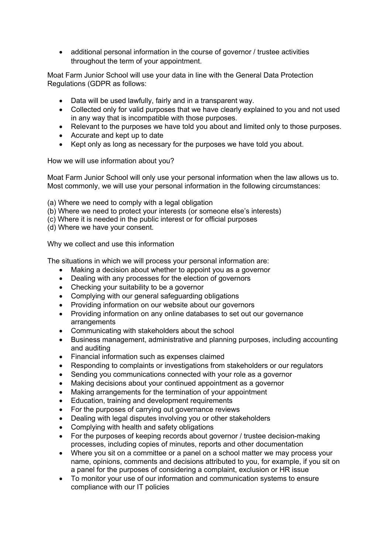• additional personal information in the course of governor / trustee activities throughout the term of your appointment.

Moat Farm Junior School will use your data in line with the General Data Protection Regulations (GDPR as follows:

- Data will be used lawfully, fairly and in a transparent way.
- Collected only for valid purposes that we have clearly explained to you and not used in any way that is incompatible with those purposes.
- Relevant to the purposes we have told you about and limited only to those purposes.
- Accurate and kept up to date
- Kept only as long as necessary for the purposes we have told you about.

How we will use information about you?

Moat Farm Junior School will only use your personal information when the law allows us to. Most commonly, we will use your personal information in the following circumstances:

(a) Where we need to comply with a legal obligation

- (b) Where we need to protect your interests (or someone else's interests)
- (c) Where it is needed in the public interest or for official purposes
- (d) Where we have your consent.

Why we collect and use this information

The situations in which we will process your personal information are:

- Making a decision about whether to appoint you as a governor
- Dealing with any processes for the election of governors
- Checking your suitability to be a governor
- Complying with our general safeguarding obligations
- Providing information on our website about our governors
- Providing information on any online databases to set out our governance arrangements
- Communicating with stakeholders about the school
- Business management, administrative and planning purposes, including accounting and auditing
- Financial information such as expenses claimed
- Responding to complaints or investigations from stakeholders or our regulators
- Sending you communications connected with your role as a governor
- Making decisions about your continued appointment as a governor
- Making arrangements for the termination of your appointment
- Education, training and development requirements
- For the purposes of carrying out governance reviews
- Dealing with legal disputes involving you or other stakeholders
- Complying with health and safety obligations
- For the purposes of keeping records about governor / trustee decision-making processes, including copies of minutes, reports and other documentation
- Where you sit on a committee or a panel on a school matter we may process your name, opinions, comments and decisions attributed to you, for example, if you sit on a panel for the purposes of considering a complaint, exclusion or HR issue
- To monitor your use of our information and communication systems to ensure compliance with our IT policies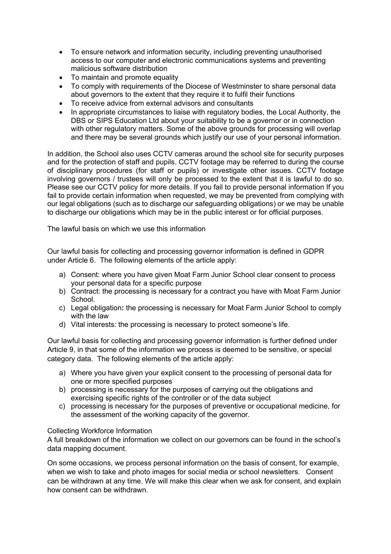- To ensure network and information security, including preventing unauthorised access to our computer and electronic communications systems and preventing malicious software distribution
- To maintain and promote equality
- To comply with requirements of the Diocese of Westminster to share personal data about governors to the extent that they require it to fulfil their functions
- To receive advice from external advisors and consultants
- In appropriate circumstances to liaise with regulatory bodies, the Local Authority, the DBS or SIPS Education Ltd about your suitability to be a governor or in connection with other regulatory matters. Some of the above grounds for processing will overlap and there may be several grounds which justify our use of your personal information.

In addition, the School also uses CCTV cameras around the school site for security purposes and for the protection of staff and pupils. CCTV footage may be referred to during the course of disciplinary procedures (for staff or pupils) or investigate other issues. CCTV footage involving governors / trustees will only be processed to the extent that it is lawful to do so. Please see our CCTV policy for more details. If you fail to provide personal information If you fail to provide certain information when requested, we may be prevented from complying with our legal obligations (such as to discharge our safeguarding obligations) or we may be unable to discharge our obligations which may be in the public interest or for official purposes.

The lawful basis on which we use this information

Our lawful basis for collecting and processing governor information is defined in GDPR under Article 6. The following elements of the article apply:

- a) Consent: where you have given Moat Farm Junior School clear consent to process your personal data for a specific purpose
- b) Contract: the processing is necessary for a contract you have with Moat Farm Junior School.
- c) Legal obligation**:** the processing is necessary for Moat Farm Junior School to comply with the law
- d) Vital interests: the processing is necessary to protect someone's life.

Our lawful basis for collecting and processing governor information is further defined under Article 9, in that some of the information we process is deemed to be sensitive, or special category data. The following elements of the article apply:

- a) Where you have given your explicit consent to the processing of personal data for one or more specified purposes
- b) processing is necessary for the purposes of carrying out the obligations and exercising specific rights of the controller or of the data subject
- c) processing is necessary for the purposes of preventive or occupational medicine, for the assessment of the working capacity of the governor.

#### Collecting Workforce Information

A full breakdown of the information we collect on our governors can be found in the school's data mapping document.

On some occasions, we process personal information on the basis of consent, for example, when we wish to take and photo images for social media or school newsletters. Consent can be withdrawn at any time. We will make this clear when we ask for consent, and explain how consent can be withdrawn.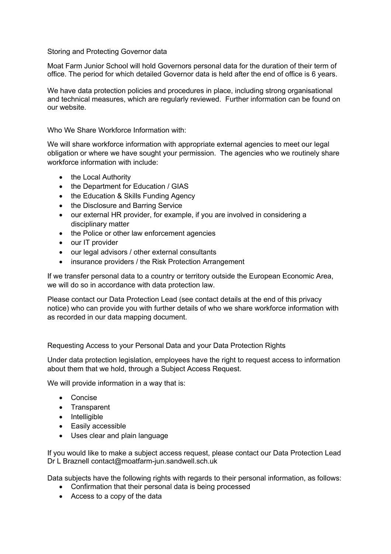#### Storing and Protecting Governor data

Moat Farm Junior School will hold Governors personal data for the duration of their term of office. The period for which detailed Governor data is held after the end of office is 6 years.

We have data protection policies and procedures in place, including strong organisational and technical measures, which are regularly reviewed. Further information can be found on our website.

Who We Share Workforce Information with:

We will share workforce information with appropriate external agencies to meet our legal obligation or where we have sought your permission. The agencies who we routinely share workforce information with include:

- the Local Authority
- the Department for Education / GIAS
- the Education & Skills Funding Agency
- the Disclosure and Barring Service
- our external HR provider, for example, if you are involved in considering a disciplinary matter
- the Police or other law enforcement agencies
- our IT provider
- our legal advisors / other external consultants
- insurance providers / the Risk Protection Arrangement

If we transfer personal data to a country or territory outside the European Economic Area, we will do so in accordance with data protection law.

Please contact our Data Protection Lead (see contact details at the end of this privacy notice) who can provide you with further details of who we share workforce information with as recorded in our data mapping document.

Requesting Access to your Personal Data and your Data Protection Rights

Under data protection legislation, employees have the right to request access to information about them that we hold, through a Subject Access Request.

We will provide information in a way that is:

- Concise
- Transparent
- Intelligible
- Easily accessible
- Uses clear and plain language

If you would like to make a subject access request, please contact our Data Protection Lead Dr L Braznell contact@moatfarm-jun.sandwell.sch.uk

Data subjects have the following rights with regards to their personal information, as follows:

- Confirmation that their personal data is being processed
- Access to a copy of the data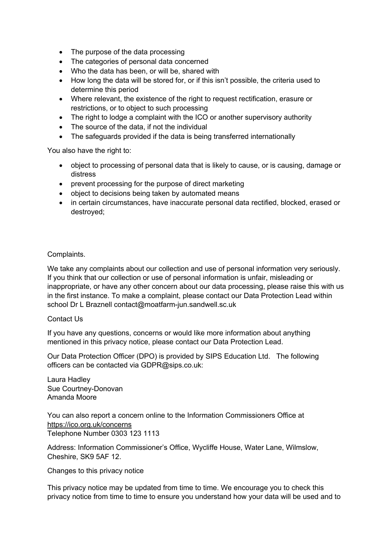- The purpose of the data processing
- The categories of personal data concerned
- Who the data has been, or will be, shared with
- How long the data will be stored for, or if this isn't possible, the criteria used to determine this period
- Where relevant, the existence of the right to request rectification, erasure or restrictions, or to object to such processing
- The right to lodge a complaint with the ICO or another supervisory authority
- The source of the data, if not the individual
- The safeguards provided if the data is being transferred internationally

You also have the right to:

- object to processing of personal data that is likely to cause, or is causing, damage or distress
- prevent processing for the purpose of direct marketing
- object to decisions being taken by automated means
- in certain circumstances, have inaccurate personal data rectified, blocked, erased or destroyed;

#### Complaints.

We take any complaints about our collection and use of personal information very seriously. If you think that our collection or use of personal information is unfair, misleading or inappropriate, or have any other concern about our data processing, please raise this with us in the first instance. To make a complaint, please contact our Data Protection Lead within school Dr L Braznell contact@moatfarm-jun.sandwell.sc.uk

#### Contact Us

If you have any questions, concerns or would like more information about anything mentioned in this privacy notice, please contact our Data Protection Lead.

Our Data Protection Officer (DPO) is provided by SIPS Education Ltd. The following officers can be contacted via GDPR@sips.co.uk:

Laura Hadley Sue Courtney-Donovan Amanda Moore

You can also report a concern online to the Information Commissioners Office at https://ico.org.uk/concerns Telephone Number 0303 123 1113

Address: Information Commissioner's Office, Wycliffe House, Water Lane, Wilmslow, Cheshire, SK9 5AF 12.

Changes to this privacy notice

This privacy notice may be updated from time to time. We encourage you to check this privacy notice from time to time to ensure you understand how your data will be used and to